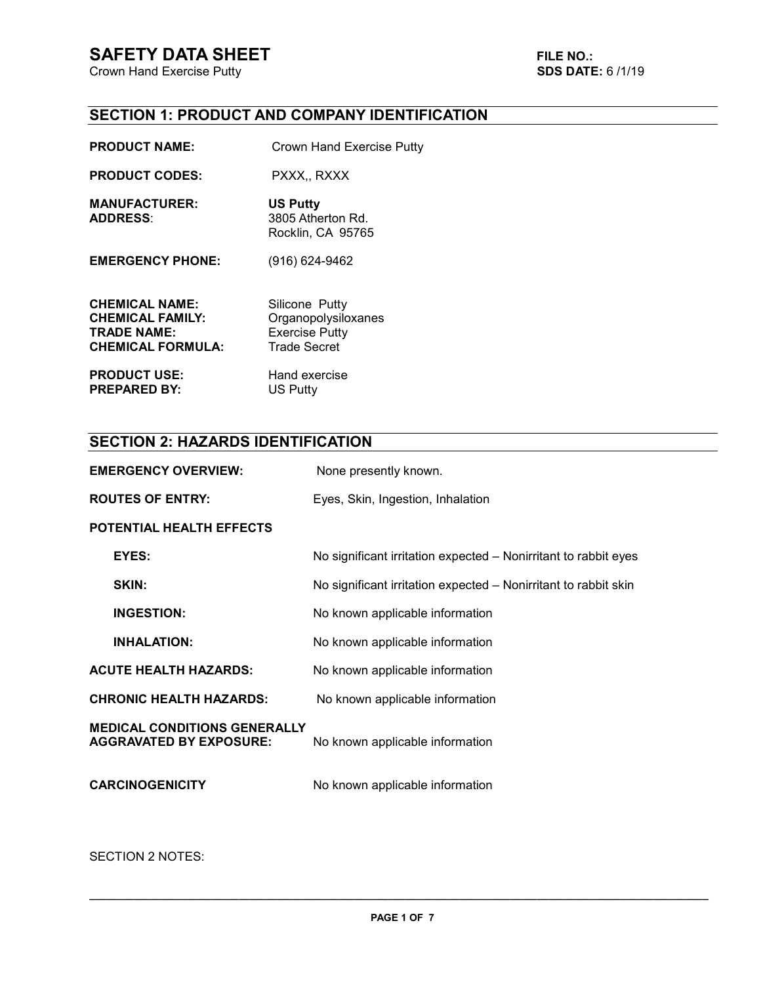**Crown Hand Exercise Putty** 

# **SECTION 1: PRODUCT AND COMPANY IDENTIFICATION**

| <b>PRODUCT NAME:</b>                                                                               | Crown Hand Exercise Putty                                                             |
|----------------------------------------------------------------------------------------------------|---------------------------------------------------------------------------------------|
| <b>PRODUCT CODES:</b>                                                                              | PXXX., RXXX                                                                           |
| <b>MANUFACTURER:</b><br><b>ADDRESS:</b>                                                            | <b>US Putty</b><br>3805 Atherton Rd.<br>Rocklin, CA 95765                             |
| <b>EMERGENCY PHONE:</b>                                                                            | (916) 624-9462                                                                        |
| <b>CHEMICAL NAME:</b><br><b>CHEMICAL FAMILY:</b><br><b>TRADE NAME:</b><br><b>CHEMICAL FORMULA:</b> | Silicone Putty<br>Organopolysiloxanes<br><b>Exercise Putty</b><br><b>Trade Secret</b> |
| DDANIICT IICE.                                                                                     | Hand oversies                                                                         |

**PRODUCT USE:** Hand exercise<br> **PREPARED BY:** US Putty **PREPARED BY:** 

# **SECTION 2: HAZARDS IDENTIFICATION**

| <b>EMERGENCY OVERVIEW:</b>                                            | None presently known.                                           |
|-----------------------------------------------------------------------|-----------------------------------------------------------------|
| <b>ROUTES OF ENTRY:</b>                                               | Eyes, Skin, Ingestion, Inhalation                               |
| POTENTIAL HEALTH EFFECTS                                              |                                                                 |
| EYES:                                                                 | No significant irritation expected – Nonirritant to rabbit eyes |
| SKIN:                                                                 | No significant irritation expected – Nonirritant to rabbit skin |
| <b>INGESTION:</b>                                                     | No known applicable information                                 |
| <b>INHALATION:</b>                                                    | No known applicable information                                 |
| <b>ACUTE HEALTH HAZARDS:</b>                                          | No known applicable information                                 |
| <b>CHRONIC HEALTH HAZARDS:</b>                                        | No known applicable information                                 |
| <b>MEDICAL CONDITIONS GENERALLY</b><br><b>AGGRAVATED BY EXPOSURE:</b> | No known applicable information                                 |
| <b>CARCINOGENICITY</b>                                                | No known applicable information                                 |
|                                                                       |                                                                 |

SECTION 2 NOTES: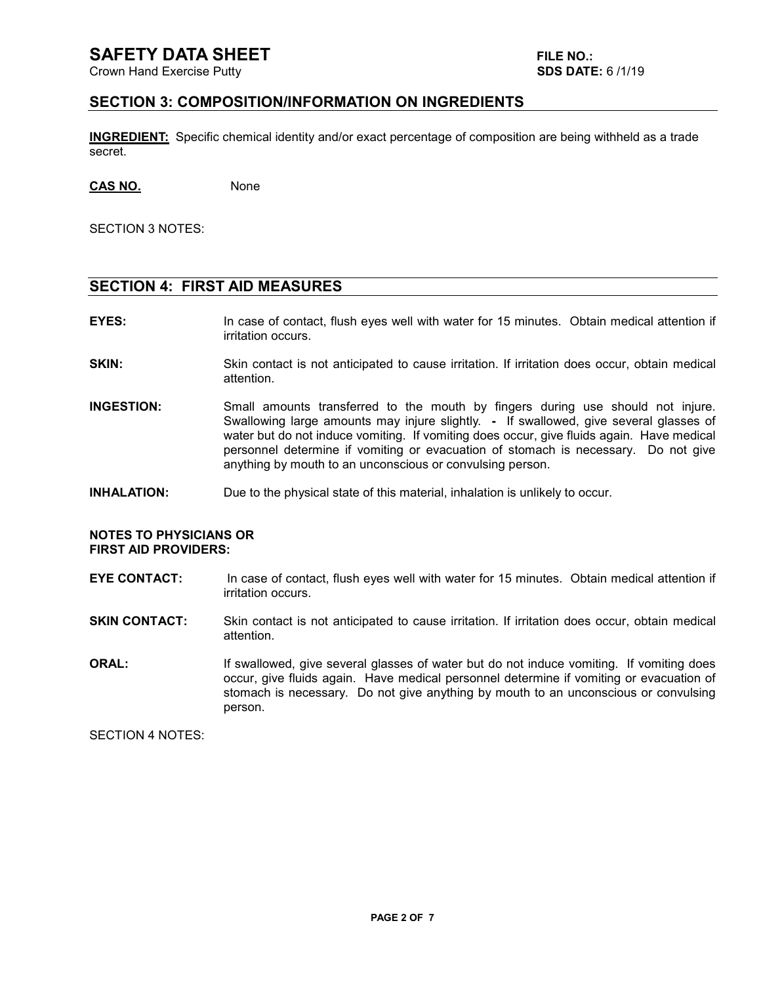# **SAFETY DATA SHEET FILE NO.:**

Crown Hand Exercise Putty **SDS DATE:** 6 /1/19

#### **SECTION 3: COMPOSITION/INFORMATION ON INGREDIENTS**

**INGREDIENT:** Specific chemical identity and/or exact percentage of composition are being withheld as a trade secret.

**CAS NO.** None

SECTION 3 NOTES:

#### **SECTION 4: FIRST AID MEASURES**

- **EYES:** In case of contact, flush eyes well with water for 15 minutes. Obtain medical attention if irritation occurs.
- **SKIN:** Skin contact is not anticipated to cause irritation. If irritation does occur, obtain medical attention.
- **INGESTION:** Small amounts transferred to the mouth by fingers during use should not injure. Swallowing large amounts may injure slightly. **-** If swallowed, give several glasses of water but do not induce vomiting. If vomiting does occur, give fluids again. Have medical personnel determine if vomiting or evacuation of stomach is necessary. Do not give anything by mouth to an unconscious or convulsing person.
- **INHALATION:** Due to the physical state of this material, inhalation is unlikely to occur.

#### **NOTES TO PHYSICIANS OR FIRST AID PROVIDERS:**

**EYE CONTACT:** In case of contact, flush eyes well with water for 15 minutes. Obtain medical attention if irritation occurs.

**SKIN CONTACT:** Skin contact is not anticipated to cause irritation. If irritation does occur, obtain medical attention.

**ORAL:** If swallowed, give several glasses of water but do not induce vomiting. If vomiting does occur, give fluids again. Have medical personnel determine if vomiting or evacuation of stomach is necessary. Do not give anything by mouth to an unconscious or convulsing person.

SECTION 4 NOTES: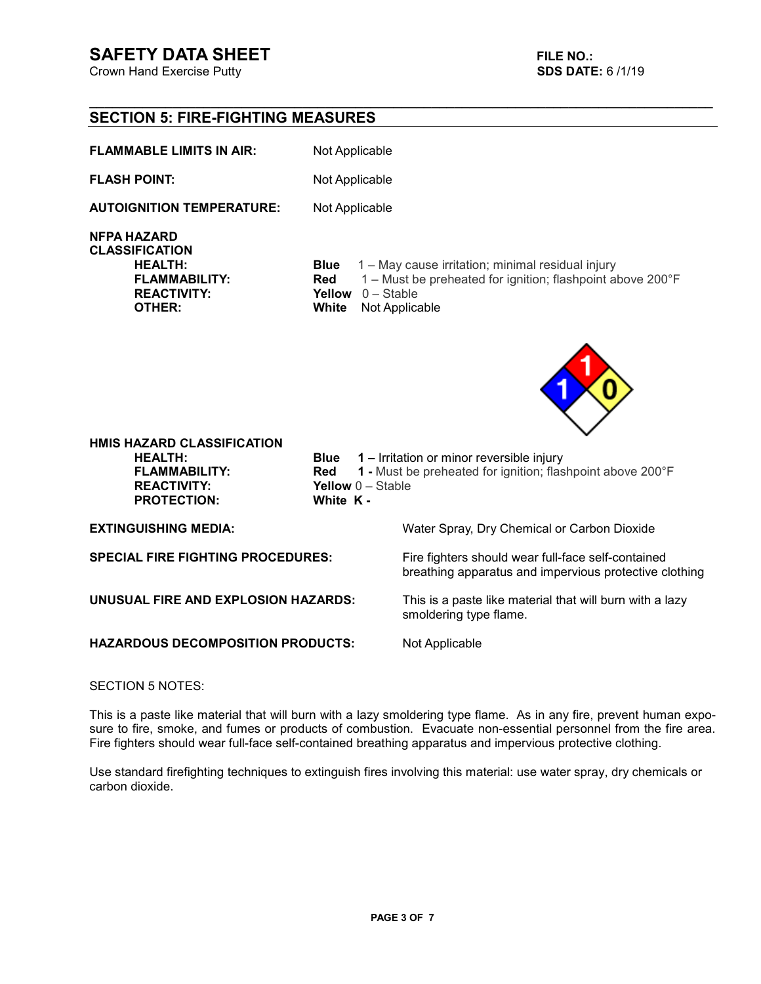# **SAFETY DATA SHEET FILE NO.:**

Crown Hand Exercise Putty **SDS DATE:** 6 /1/19

# **SECTION 5: FIRE-FIGHTING MEASURES**

| <b>FLAMMABLE LIMITS IN AIR:</b> | Not Applicable |
|---------------------------------|----------------|
|                                 |                |

**FLASH POINT:** Not Applicable

**\_\_\_\_\_\_\_\_\_\_\_\_\_\_\_\_\_\_\_\_\_\_\_\_\_\_\_\_\_\_\_\_\_\_\_\_\_\_\_\_\_\_\_\_\_\_\_\_\_\_\_\_\_\_\_\_\_\_\_\_\_\_\_\_\_\_\_\_\_\_\_\_\_\_\_\_\_\_\_\_\_\_** 

**AUTOIGNITION TEMPERATURE:** Not Applicable

**NFPA HAZARD** 

**CLASSIFICATION** 

**HEALTH:** Blue 1 – May cause irritation; minimal residual injury<br>**FLAMMABILITY:** Red 1 – Must be preheated for ignition: flashpoint all **FLAMMABILITY: Red** 1 – Must be preheated for ignition; flashpoint above 200°F<br>**REACTIVITY: Yellow** 0 – Stable **REACTIVITY: Yellow** 0 – Stable<br> **OTHER: White** Not Applic: **White** Not Applicable



**HMIS HAZARD CLASSIFICATION PROTECTION:** 

**HEALTH:** Blue 1 – Irritation or minor reversible injury<br>**FLAMMABILITY:** Red 1 - Must be preheated for ignition: flas **FLAMMABILITY:** Red 1 - Must be preheated for ignition; flashpoint above 200°F<br>**REACTIVITY:** Yellow 0 - Stable **Yellow 0 – Stable White K -**

**HAZARDOUS DECOMPOSITION PRODUCTS:** Not Applicable

**EXTINGUISHING MEDIA:** Water Spray, Dry Chemical or Carbon Dioxide

**SPECIAL FIRE FIGHTING PROCEDURES:** Fire fighters should wear full-face self-contained breathing apparatus and impervious protective clothing

**UNUSUAL FIRE AND EXPLOSION HAZARDS:** This is a paste like material that will burn with a lazy smoldering type flame.

SECTION 5 NOTES:

This is a paste like material that will burn with a lazy smoldering type flame. As in any fire, prevent human exposure to fire, smoke, and fumes or products of combustion. Evacuate non-essential personnel from the fire area. Fire fighters should wear full-face self-contained breathing apparatus and impervious protective clothing.

Use standard firefighting techniques to extinguish fires involving this material: use water spray, dry chemicals or carbon dioxide.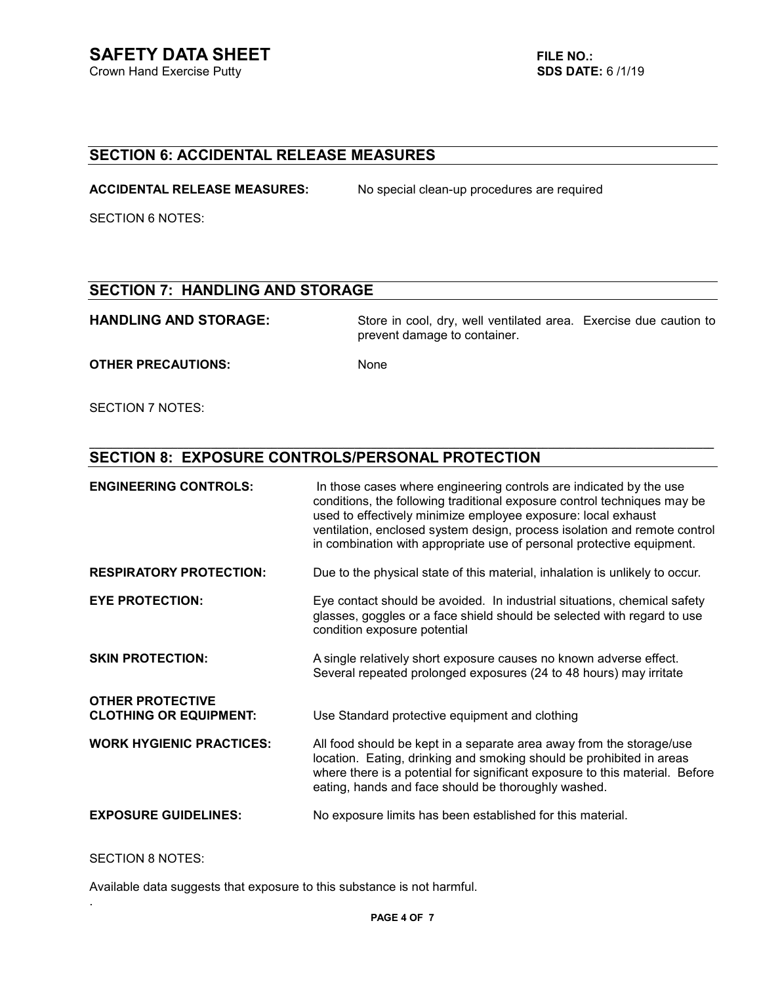# **SECTION 6: ACCIDENTAL RELEASE MEASURES**

**ACCIDENTAL RELEASE MEASURES:** No special clean-up procedures are required

SECTION 6 NOTES:

### **SECTION 7: HANDLING AND STORAGE**

HANDLING AND STORAGE: Store in cool, dry, well ventilated area. Exercise due caution to prevent damage to container.

**\_\_\_\_\_\_\_\_\_\_\_\_\_\_\_\_\_\_\_\_\_\_\_\_\_\_\_\_\_\_\_\_\_\_\_\_\_\_\_\_\_\_\_\_\_\_\_\_\_\_\_\_\_\_\_\_\_\_\_\_\_\_\_\_\_\_\_\_\_\_\_\_\_\_\_\_\_\_\_\_\_\_\_\_\_\_\_\_\_\_\_\_\_\_\_\_\_\_\_\_\_\_\_\_\_\_\_\_\_\_\_\_\_** 

**OTHER PRECAUTIONS:** None

SECTION 7 NOTES:

# **SECTION 8: EXPOSURE CONTROLS/PERSONAL PROTECTION**

| <b>ENGINEERING CONTROLS:</b>    | In those cases where engineering controls are indicated by the use<br>conditions, the following traditional exposure control techniques may be<br>used to effectively minimize employee exposure: local exhaust<br>ventilation, enclosed system design, process isolation and remote control<br>in combination with appropriate use of personal protective equipment. |
|---------------------------------|-----------------------------------------------------------------------------------------------------------------------------------------------------------------------------------------------------------------------------------------------------------------------------------------------------------------------------------------------------------------------|
| <b>RESPIRATORY PROTECTION:</b>  | Due to the physical state of this material, inhalation is unlikely to occur.                                                                                                                                                                                                                                                                                          |
| <b>EYE PROTECTION:</b>          | Eye contact should be avoided. In industrial situations, chemical safety<br>glasses, goggles or a face shield should be selected with regard to use<br>condition exposure potential                                                                                                                                                                                   |
| <b>SKIN PROTECTION:</b>         | A single relatively short exposure causes no known adverse effect.<br>Several repeated prolonged exposures (24 to 48 hours) may irritate                                                                                                                                                                                                                              |
| <b>OTHER PROTECTIVE</b>         |                                                                                                                                                                                                                                                                                                                                                                       |
| <b>CLOTHING OR EQUIPMENT:</b>   | Use Standard protective equipment and clothing                                                                                                                                                                                                                                                                                                                        |
| <b>WORK HYGIENIC PRACTICES:</b> | All food should be kept in a separate area away from the storage/use<br>location. Eating, drinking and smoking should be prohibited in areas<br>where there is a potential for significant exposure to this material. Before<br>eating, hands and face should be thoroughly washed.                                                                                   |
| <b>EXPOSURE GUIDELINES:</b>     | No exposure limits has been established for this material.                                                                                                                                                                                                                                                                                                            |
|                                 |                                                                                                                                                                                                                                                                                                                                                                       |

#### SECTION 8 NOTES:

.

Available data suggests that exposure to this substance is not harmful.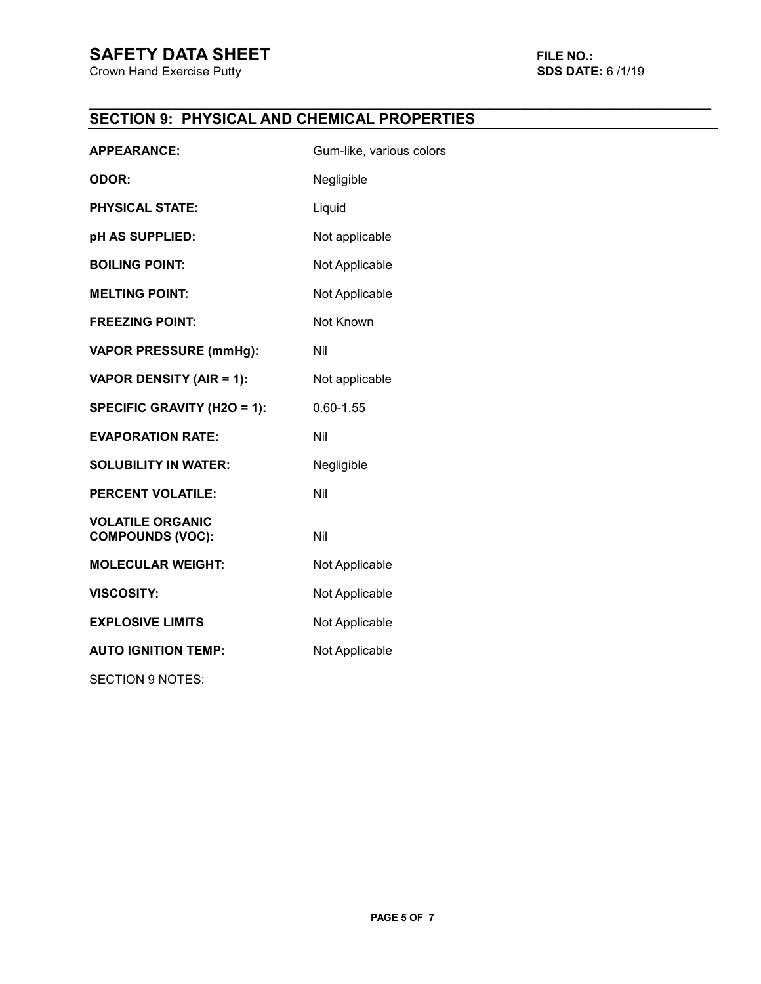# **SAFETY DATA SHEET**<br>Crown Hand Exercise Putty **FILE NO.:** SDS DATE: 6/1/19

**Crown Hand Exercise Putty** 

#### **\_\_\_\_\_\_\_\_\_\_\_\_\_\_\_\_\_\_\_\_\_\_\_\_\_\_\_\_\_\_\_\_\_\_\_\_\_\_\_\_\_\_\_\_\_\_\_\_\_\_\_\_\_\_\_\_\_\_\_\_\_\_\_\_\_\_\_\_\_\_\_\_\_\_\_ SECTION 9: PHYSICAL AND CHEMICAL PROPERTIES**

| <b>APPEARANCE:</b>                                 | Gum-like, various colors |
|----------------------------------------------------|--------------------------|
| <b>ODOR:</b>                                       | Negligible               |
| <b>PHYSICAL STATE:</b>                             | Liquid                   |
| pH AS SUPPLIED:                                    | Not applicable           |
| <b>BOILING POINT:</b>                              | Not Applicable           |
| <b>MELTING POINT:</b>                              | Not Applicable           |
| <b>FREEZING POINT:</b>                             | Not Known                |
| <b>VAPOR PRESSURE (mmHg):</b>                      | Nil                      |
| <b>VAPOR DENSITY (AIR = 1):</b>                    | Not applicable           |
| <b>SPECIFIC GRAVITY (H2O = 1):</b>                 | $0.60 - 1.55$            |
| <b>EVAPORATION RATE:</b>                           | Nil                      |
| <b>SOLUBILITY IN WATER:</b>                        | Negligible               |
| <b>PERCENT VOLATILE:</b>                           | Nil                      |
| <b>VOLATILE ORGANIC</b><br><b>COMPOUNDS (VOC):</b> | Nil                      |
| <b>MOLECULAR WEIGHT:</b>                           | Not Applicable           |
| <b>VISCOSITY:</b>                                  | Not Applicable           |
| <b>EXPLOSIVE LIMITS</b>                            | Not Applicable           |
| <b>AUTO IGNITION TEMP:</b>                         | Not Applicable           |
| <b>SECTION 9 NOTES:</b>                            |                          |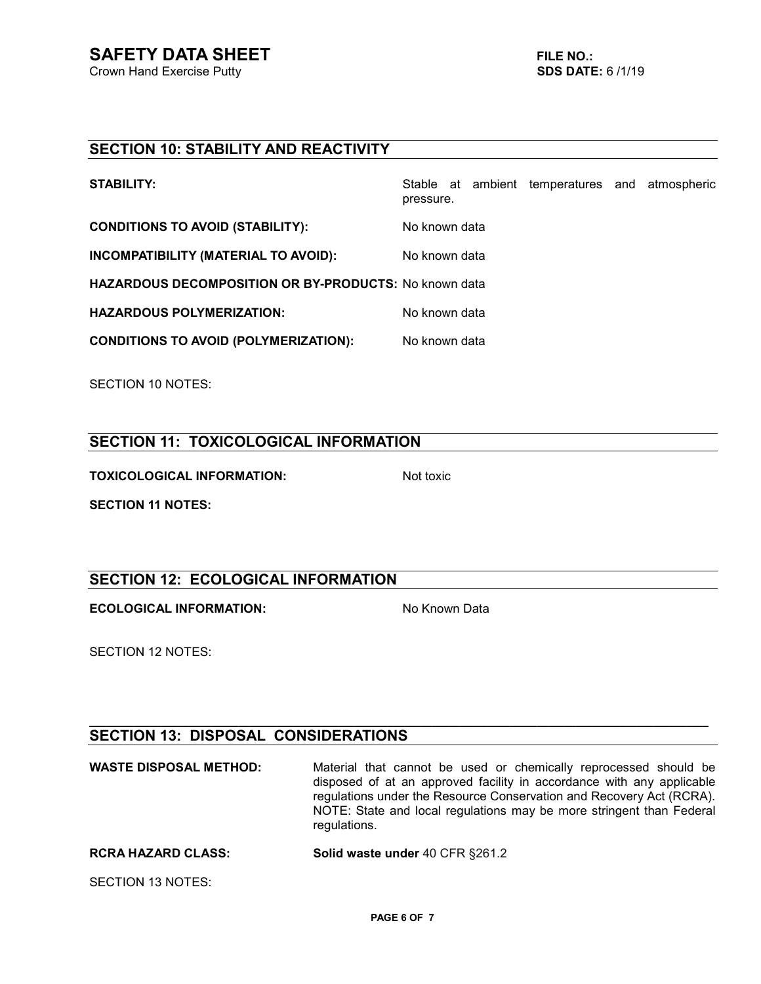# **SECTION 10: STABILITY AND REACTIVITY**

| <b>CONDITIONS TO AVOID (STABILITY):</b><br>No known data      |  |
|---------------------------------------------------------------|--|
| INCOMPATIBILITY (MATERIAL TO AVOID):<br>No known data         |  |
| <b>HAZARDOUS DECOMPOSITION OR BY-PRODUCTS: No known data</b>  |  |
| <b>HAZARDOUS POLYMERIZATION:</b><br>No known data             |  |
| <b>CONDITIONS TO AVOID (POLYMERIZATION):</b><br>No known data |  |

SECTION 10 NOTES:

# **SECTION 11: TOXICOLOGICAL INFORMATION**

**TOXICOLOGICAL INFORMATION:** Not toxic

**SECTION 11 NOTES:** 

# **SECTION 12: ECOLOGICAL INFORMATION**

**ECOLOGICAL INFORMATION:** No Known Data

SECTION 12 NOTES:

# **SECTION 13: DISPOSAL CONSIDERATIONS**

**WASTE DISPOSAL METHOD:** Material that cannot be used or chemically reprocessed should be disposed of at an approved facility in accordance with any applicable regulations under the Resource Conservation and Recovery Act (RCRA). NOTE: State and local regulations may be more stringent than Federal regulations. **RCRA HAZARD CLASS:** Solid waste under 40 CFR §261.2

**\_\_\_\_\_\_\_\_\_\_\_\_\_\_\_\_\_\_\_\_\_\_\_\_\_\_\_\_\_\_\_\_\_\_\_\_\_\_\_\_\_\_\_\_\_\_\_\_\_\_\_\_\_\_\_\_\_\_\_\_\_\_\_\_\_\_\_\_\_\_\_\_\_\_\_\_\_\_\_\_\_\_\_\_\_\_\_\_\_\_\_\_\_\_\_\_\_\_\_\_\_\_\_\_\_\_\_\_\_\_\_\_**

SECTION 13 NOTES: